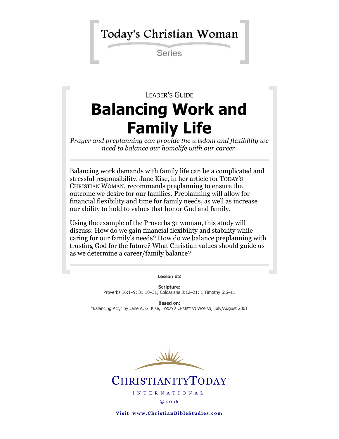## Today's Christian Woman

**Series** 

# LEADER'S GUIDE **Balancing Work and Family Life**

*Prayer and preplanning can provide the wisdom and flexibility we need to balance our homelife with our career.*

Balancing work demands with family life can be a complicated and stressful responsibility. Jane Kise, in her article for TODAY'S CHRISTIAN WOMAN, recommends preplanning to ensure the outcome we desire for our families. Preplanning will allow for financial flexibility and time for family needs, as well as increase our ability to hold to values that honor God and family.

Using the example of the Proverbs 31 woman, this study will discuss: How do we gain financial flexibility and stability while caring for our family's needs? How do we balance preplanning with trusting God for the future? What Christian values should guide us as we determine a career/family balance?

**Lesson #2**

**Scripture:** Proverbs 16:1–9; 31:10–31; Colossians 3:12–21; 1 Timothy 6:6–11

**Based on:** "Balancing Act," by Jane A. G. Kise, TODAY'S CHRISTIAN WOMAN, July/August 2001



CHRISTIANITYTODAY

I N T E R N A T I O N A L © 20 06

**Visit www.ChristianBibleStudies.com**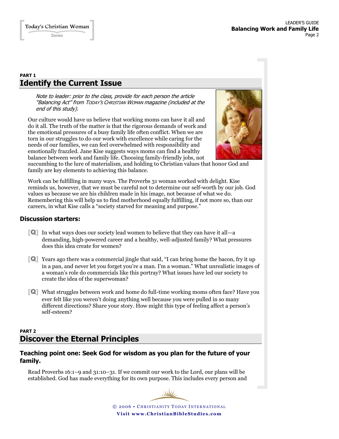### **PART 1 Identify the Current Issue**

Note to leader: prior to the class, provide for each person the article "Balancing Act" from TODAY'S CHRISTIAN WOMAN magazine (included at the end of this study).

Our culture would have us believe that working moms can have it all and do it all. The truth of the matter is that the rigorous demands of work and the emotional pressures of a busy family life often conflict. When we are torn in our struggles to do our work with excellence while caring for the needs of our families, we can feel overwhelmed with responsibility and emotionally frazzled. Jane Kise suggests ways moms can find a healthy balance between work and family life. Choosing family-friendly jobs, not



succumbing to the lure of materialism, and holding to Christian values that honor God and family are key elements to achieving this balance.

Work can be fulfilling in many ways. The Proverbs 31 woman worked with delight. Kise reminds us, however, that we must be careful not to determine our self-worth by our job. God values us because we are his children made in his image, not because of what we do. Remembering this will help us to find motherhood equally fulfilling, if not more so, than our careers, in what Kise calls a "society starved for meaning and purpose."

#### **Discussion starters:**

- [Q] In what ways does our society lead women to believe that they can have it all—a demanding, high-powered career and a healthy, well-adjusted family? What pressures does this idea create for women?
- [Q] Years ago there was a commercial jingle that said, "I can bring home the bacon, fry it up in a pan, and never let you forget you're a man. I'm a woman." What unrealistic images of a woman's role do commercials like this portray? What issues have led our society to create the idea of the superwoman?
- [Q] What struggles between work and home do full-time working moms often face? Have you ever felt like you weren't doing anything well because you were pulled in so many different directions? Share your story. How might this type of feeling affect a person's self-esteem?

#### **PART 2 Discover the Eternal Principles**

#### **Teaching point one: Seek God for wisdom as you plan for the future of your family.**

Read Proverbs 16:1–9 and 31:10–31. If we commit our work to the Lord, our plans will be established. God has made everything for its own purpose. This includes every person and

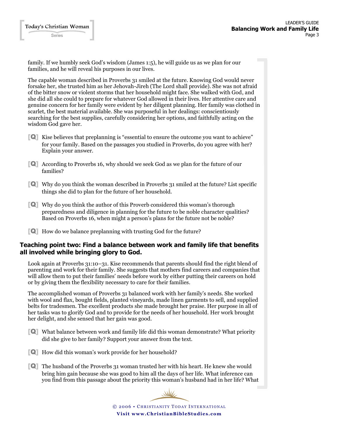family. If we humbly seek God's wisdom (James 1:5), he will guide us as we plan for our families, and he will reveal his purposes in our lives.

The capable woman described in Proverbs 31 smiled at the future. Knowing God would never forsake her, she trusted him as her Jehovah-Jireh (The Lord shall provide). She was not afraid of the bitter snow or violent storms that her household might face. She walked with God, and she did all she could to prepare for whatever God allowed in their lives. Her attentive care and genuine concern for her family were evident by her diligent planning. Her family was clothed in scarlet, the best material available. She was purposeful in her dealings: conscientiously searching for the best supplies, carefully considering her options, and faithfully acting on the wisdom God gave her.

- [Q] Kise believes that preplanning is "essential to ensure the outcome you want to achieve" for your family. Based on the passages you studied in Proverbs, do you agree with her? Explain your answer.
- [Q] According to Proverbs 16, why should we seek God as we plan for the future of our families?
- [Q] Why do you think the woman described in Proverbs 31 smiled at the future? List specific things she did to plan for the future of her household.
- [Q] Why do you think the author of this Proverb considered this woman's thorough preparedness and diligence in planning for the future to be noble character qualities? Based on Proverbs 16, when might a person's plans for the future not be noble?
- [Q] How do we balance preplanning with trusting God for the future?

#### **Teaching point two: Find a balance between work and family life that benefits all involved while bringing glory to God.**

Look again at Proverbs 31:10–31. Kise recommends that parents should find the right blend of parenting and work for their family. She suggests that mothers find careers and companies that will allow them to put their families' needs before work by either putting their careers on hold or by giving them the flexibility necessary to care for their families.

The accomplished woman of Proverbs 31 balanced work with her family's needs. She worked with wool and flax, bought fields, planted vineyards, made linen garments to sell, and supplied belts for tradesmen. The excellent products she made brought her praise. Her purpose in all of her tasks was to glorify God and to provide for the needs of her household. Her work brought her delight, and she sensed that her gain was good.

- [Q] What balance between work and family life did this woman demonstrate? What priority did she give to her family? Support your answer from the text.
- [Q] How did this woman's work provide for her household?
- [Q] The husband of the Proverbs 31 woman trusted her with his heart. He knew she would bring him gain because she was good to him all the days of her life. What inference can you find from this passage about the priority this woman's husband had in her life? What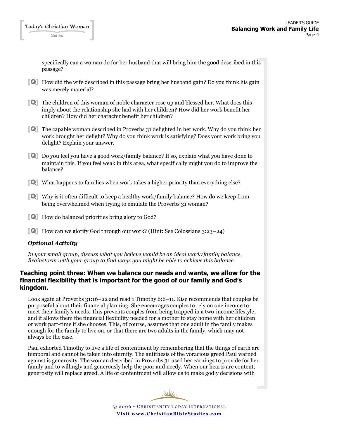Today's Christian Woman Series

> specifically can a woman do for her husband that will bring him the good described in this passage?

- [Q] How did the wife described in this passage bring her husband gain? Do you think his gain was merely material?
- [Q] The children of this woman of noble character rose up and blessed her. What does this imply about the relationship she had with her children? How did her work benefit her children? How did her character benefit her children?
- [Q] The capable woman described in Proverbs 31 delighted in her work. Why do you think her work brought her delight? Why do you think work is satisfying? Does your work bring you delight? Explain your answer.
- [Q] Do you feel you have a good work/family balance? If so, explain what you have done to maintain this. If you feel weak in this area, what specifically might you do to improve the balance?
- [Q] What happens to families when work takes a higher priority than everything else?
- [Q] Why is it often difficult to keep a healthy work/family balance? How do we keep from being overwhelmed when trying to emulate the Proverbs 31 woman?
- [Q] How do balanced priorities bring glory to God?
- [Q] How can we glorify God through our work? (Hint: See Colossians 3:23–24)

#### *Optional Activity*

*In your small group, discuss what you believe would be an ideal work/family balance. Brainstorm with your group to find ways you might be able to achieve this balance.* 

#### **Teaching point three: When we balance our needs and wants, we allow for the financial flexibility that is important for the good of our family and God's kingdom.**

Look again at Proverbs 31:16–22 and read 1 Timothy 6:6–11. Kise recommends that couples be purposeful about their financial planning. She encourages couples to rely on one income to meet their family's needs. This prevents couples from being trapped in a two-income lifestyle, and it allows them the financial flexibility needed for a mother to stay home with her children or work part-time if she chooses. This, of course, assumes that one adult in the family makes enough for the family to live on, or that there are two adults in the family, which may not always be the case.

Paul exhorted Timothy to live a life of contentment by remembering that the things of earth are temporal and cannot be taken into eternity. The antithesis of the voracious greed Paul warned against is generosity. The woman described in Proverbs 31 used her earnings to provide for her family and to willingly and generously help the poor and needy. When our hearts are content, generosity will replace greed. A life of contentment will allow us to make godly decisions with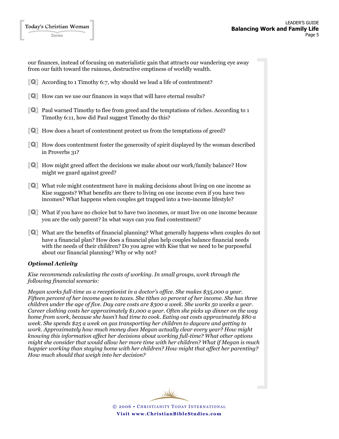our finances, instead of focusing on materialistic gain that attracts our wandering eye away from our faith toward the ruinous, destructive emptiness of worldly wealth.

- [Q] According to 1 Timothy 6:7, why should we lead a life of contentment?
- [Q] How can we use our finances in ways that will have eternal results?
- [Q] Paul warned Timothy to flee from greed and the temptations of riches. According to 1 Timothy 6:11, how did Paul suggest Timothy do this?
- [Q] How does a heart of contentment protect us from the temptations of greed?
- [Q] How does contentment foster the generosity of spirit displayed by the woman described in Proverbs 31?
- [Q] How might greed affect the decisions we make about our work/family balance? How might we guard against greed?
- [Q] What role might contentment have in making decisions about living on one income as Kise suggests? What benefits are there to living on one income even if you have two incomes? What happens when couples get trapped into a two-income lifestyle?
- [Q] What if you have no choice but to have two incomes, or must live on one income because you are the only parent? In what ways can you find contentment?
- [Q] What are the benefits of financial planning? What generally happens when couples do not have a financial plan? How does a financial plan help couples balance financial needs with the needs of their children? Do you agree with Kise that we need to be purposeful about our financial planning? Why or why not?

#### *Optional Activity*

*Kise recommends calculating the costs of working. In small groups, work through the following financial scenario:*

*Megan works full-time as a receptionist in a doctor's office. She makes \$35,000 a year. Fifteen percent of her income goes to taxes. She tithes 10 percent of her income. She has three children under the age of five. Day care costs are \$300 a week. She works 50 weeks a year. Career clothing costs her approximately \$1,000 a year. Often she picks up dinner on the way home from work, because she hasn't had time to cook. Eating out costs approximately \$80 a week. She spends \$25 a week on gas transporting her children to daycare and getting to work. Approximately how much money does Megan actually clear every year? How might knowing this information affect her decisions about working full-time? What other options might she consider that would allow her more time with her children? What if Megan is much happier working than staying home with her children? How might that affect her parenting? How much should that weigh into her decision?*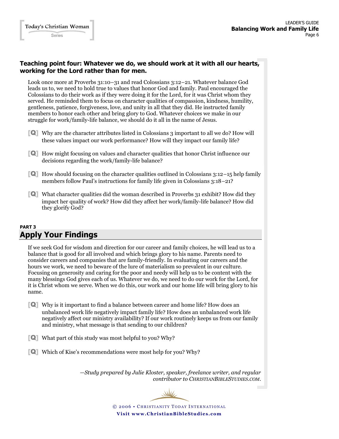#### **Teaching point four: Whatever we do, we should work at it with all our hearts, working for the Lord rather than for men.**

Look once more at Proverbs 31:10–31 and read Colossians 3:12–21. Whatever balance God leads us to, we need to hold true to values that honor God and family. Paul encouraged the Colossians to do their work as if they were doing it for the Lord, for it was Christ whom they served. He reminded them to focus on character qualities of compassion, kindness, humility, gentleness, patience, forgiveness, love, and unity in all that they did. He instructed family members to honor each other and bring glory to God. Whatever choices we make in our struggle for work/family-life balance, we should do it all in the name of Jesus.

- [Q] Why are the character attributes listed in Colossians 3 important to all we do? How will these values impact our work performance? How will they impact our family life?
- [Q] How might focusing on values and character qualities that honor Christ influence our decisions regarding the work/family-life balance?
- [Q] How should focusing on the character qualities outlined in Colossians 3:12–15 help family members follow Paul's instructions for family life given in Colossians 3:18–21?
- [Q] What character qualities did the woman described in Proverbs 31 exhibit? How did they impact her quality of work? How did they affect her work/family-life balance? How did they glorify God?

#### **PART 3 Apply Your Findings**

If we seek God for wisdom and direction for our career and family choices, he will lead us to a balance that is good for all involved and which brings glory to his name. Parents need to consider careers and companies that are family-friendly. In evaluating our careers and the hours we work, we need to beware of the lure of materialism so prevalent in our culture. Focusing on generosity and caring for the poor and needy will help us to be content with the many blessings God gives each of us. Whatever we do, we need to do our work for the Lord, for it is Christ whom we serve. When we do this, our work and our home life will bring glory to his name.

- [Q] Why is it important to find a balance between career and home life? How does an unbalanced work life negatively impact family life? How does an unbalanced work life negatively affect our ministry availability? If our work routinely keeps us from our family and ministry, what message is that sending to our children?
- [Q] What part of this study was most helpful to you? Why?
- [Q] Which of Kise's recommendations were most help for you? Why?

*—Study prepared by Julie Kloster, speaker, freelance writer, and regular contributor to CHRISTIANBIBLESTUDIES.COM.*

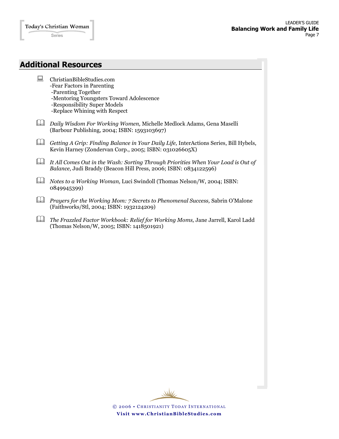## **Additional Resources**

| ' <del>≈</del> | ChristianBibleStudies.com                                                                                                                             |
|----------------|-------------------------------------------------------------------------------------------------------------------------------------------------------|
|                | -Fear Factors in Parenting                                                                                                                            |
|                | -Parenting Together                                                                                                                                   |
|                | -Mentoring Youngsters Toward Adolescence                                                                                                              |
|                | -Responsibility Super Models                                                                                                                          |
|                | -Replace Whining with Respect                                                                                                                         |
|                | Daily Wisdom For Working Women, Michelle Medlock Adams, Gena Maselli<br>(Barbour Publishing, 2004; ISBN: 1593103697)                                  |
|                | Getting A Grip: Finding Balance in Your Daily Life, InterActions Series, Bill Hybels,<br>Kevin Harney (Zondervan Corp., 2005; ISBN: 031026605X)       |
|                | It All Comes Out in the Wash: Sorting Through Priorities When Your Load is Out of<br>Balance, Judi Braddy (Beacon Hill Press, 2006; ISBN: 0834122596) |

- *Notes to a Working Woman,* Luci Swindoll (Thomas Nelson/W, 2004; ISBN: 0849945399)
- *Prayers for the Working Mom: 7 Secrets to Phenomenal Success,* Sabrin O'Malone (Faithworks/Stl, 2004; ISBN: 1932124209)
- *The Frazzled Factor Workbook: Relief for Working Moms,* Jane Jarrell, Karol Ladd (Thomas Nelson/W, 2005; ISBN: 1418501921)

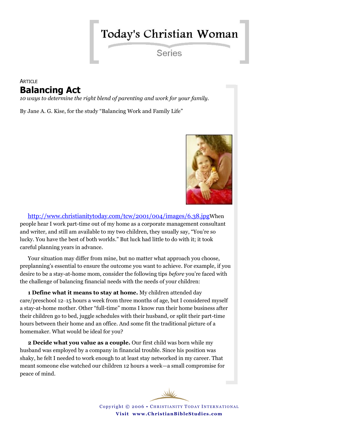# Today's Christian Woman

Series

## **ARTICLE Balancing Act**

*10 ways to determine the right blend of parenting and work for your family.*

By Jane A. G. Kise, for the study "Balancing Work and Family Life"



<http://www.christianitytoday.com/tcw/2001/004/images/6.38.jpg>When people hear I work part-time out of my home as a corporate management consultant and writer, and still am available to my two children, they usually say, "You're so lucky. You have the best of both worlds." But luck had little to do with it; it took careful planning years in advance.

Your situation may differ from mine, but no matter what approach you choose, preplanning's essential to ensure the outcome you want to achieve. For example, if you desire to be a stay-at-home mom, consider the following tips *before* you're faced with the challenge of balancing financial needs with the needs of your children:

**1 Define what it means to stay at home.** My children attended day care/preschool 12–15 hours a week from three months of age, but I considered myself a stay-at-home mother. Other "full-time" moms I know run their home business after their children go to bed, juggle schedules with their husband, or split their part-time hours between their home and an office. And some fit the traditional picture of a homemaker. What would be ideal for you?

**2 Decide what you value as a couple.** Our first child was born while my husband was employed by a company in financial trouble. Since his position was shaky, he felt I needed to work enough to at least stay networked in my career. That meant someone else watched our children 12 hours a week—a small compromise for peace of mind.

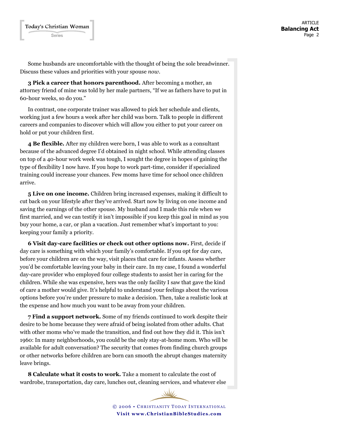Today's Christian Woman Series

Some husbands are uncomfortable with the thought of being the sole breadwinner. Discuss these values and priorities with your spouse *now*.

**3 Pick a career that honors parenthood.** After becoming a mother, an attorney friend of mine was told by her male partners, "If we as fathers have to put in 60-hour weeks, so do you."

In contrast, one corporate trainer was allowed to pick her schedule and clients, working just a few hours a week after her child was born. Talk to people in different careers and companies to discover which will allow you either to put your career on hold or put your children first.

**4 Be flexible.** After my children were born, I was able to work as a consultant because of the advanced degree I'd obtained in night school. While attending classes on top of a 40-hour work week was tough, I sought the degree in hopes of gaining the type of flexibility I now have. If you hope to work part-time, consider if specialized training could increase your chances. Few moms have time for school once children arrive.

**5 Live on one income.** Children bring increased expenses, making it difficult to cut back on your lifestyle after they've arrived. Start now by living on one income and saving the earnings of the other spouse. My husband and I made this rule when we first married, and we can testify it isn't impossible if you keep this goal in mind as you buy your home, a car, or plan a vacation. Just remember what's important to you: keeping your family a priority.

**6 Visit day-care facilities or check out other options now.** First, decide if day care is something with which your family's comfortable. If you opt for day care, before your children are on the way, visit places that care for infants. Assess whether you'd be comfortable leaving your baby in their care. In my case, I found a wonderful day-care provider who employed four college students to assist her in caring for the children. While she was expensive, hers was the only facility I saw that gave the kind of care a mother would give. It's helpful to understand your feelings about the various options before you're under pressure to make a decision. Then, take a realistic look at the expense and how much you want to be away from your children.

**7 Find a support network.** Some of my friends continued to work despite their desire to be home because they were afraid of being isolated from other adults. Chat with other moms who've made the transition, and find out how they did it. This isn't 1960: In many neighborhoods, you could be the only stay-at-home mom. Who will be available for adult conversation? The security that comes from finding church groups or other networks before children are born can smooth the abrupt changes maternity leave brings.

**8 Calculate what it costs to work.** Take a moment to calculate the cost of wardrobe, transportation, day care, lunches out, cleaning services, and whatever else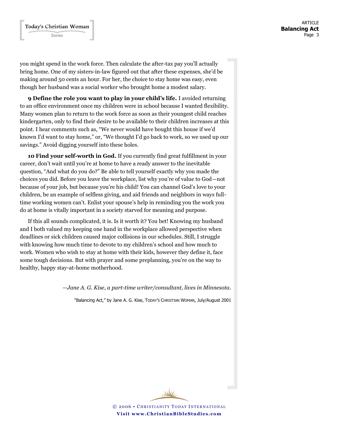you might spend in the work force. Then calculate the after-tax pay you'll actually bring home. One of my sisters-in-law figured out that after these expenses, she'd be making around 50 cents an hour. For her, the choice to stay home was easy, even though her husband was a social worker who brought home a modest salary.

**9 Define the role you want to play in your child's life.** I avoided returning to an office environment once my children were in school because I wanted flexibility. Many women plan to return to the work force as soon as their youngest child reaches kindergarten, only to find their desire to be available to their children increases at this point. I hear comments such as, "We never would have bought this house if we'd known I'd want to stay home," or, "We thought I'd go back to work, so we used up our savings." Avoid digging yourself into these holes.

**10 Find your self-worth in God.** If you currently find great fulfillment in your career, don't wait until you're at home to have a ready answer to the inevitable question, "And what do you do?" Be able to tell yourself exactly why you made the choices you did. Before you leave the workplace, list why you're of value to God—not because of your job, but because you're his child! You can channel God's love to your children, be an example of selfless giving, and aid friends and neighbors in ways fulltime working women can't. Enlist your spouse's help in reminding you the work you do at home is vitally important in a society starved for meaning and purpose.

If this all sounds complicated, it is. Is it worth it? You bet! Knowing my husband and I both valued my keeping one hand in the workplace allowed perspective when deadlines or sick children caused major collisions in our schedules. Still, I struggle with knowing how much time to devote to my children's school and how much to work. Women who wish to stay at home with their kids, however they define it, face some tough decisions. But with prayer and some preplanning, you're on the way to healthy, happy stay-at-home motherhood.

*—Jane A. G. Kise, a part-time writer/consultant, lives in Minnesota.*

"Balancing Act," by Jane A. G. Kise, TODAY'S CHRISTIAN WOMAN, July/August 2001